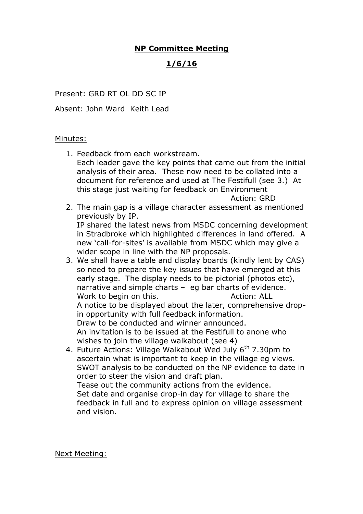## **NP Committee Meeting**

## **1/6/16**

Present: GRD RT OL DD SC IP

Absent: John Ward Keith Lead

## Minutes:

1. Feedback from each workstream. Each leader gave the key points that came out from the initial analysis of their area. These now need to be collated into a document for reference and used at The Festifull (see 3.) At this stage just waiting for feedback on Environment

Action: GRD

2. The main gap is a village character assessment as mentioned previously by IP.

IP shared the latest news from MSDC concerning development in Stradbroke which highlighted differences in land offered. A new 'call-for-sites' is available from MSDC which may give a wider scope in line with the NP proposals.

- 3. We shall have a table and display boards (kindly lent by CAS) so need to prepare the key issues that have emerged at this early stage. The display needs to be pictorial (photos etc), narrative and simple charts – eg bar charts of evidence. Work to begin on this. The manufacture of Action: ALL A notice to be displayed about the later, comprehensive dropin opportunity with full feedback information. Draw to be conducted and winner announced. An invitation is to be issued at the Festifull to anone who wishes to join the village walkabout (see 4)
- 4. Future Actions: Village Walkabout Wed July 6<sup>th</sup> 7.30pm to ascertain what is important to keep in the village eg views. SWOT analysis to be conducted on the NP evidence to date in order to steer the vision and draft plan. Tease out the community actions from the evidence. Set date and organise drop-in day for village to share the feedback in full and to express opinion on village assessment and vision.

Next Meeting: